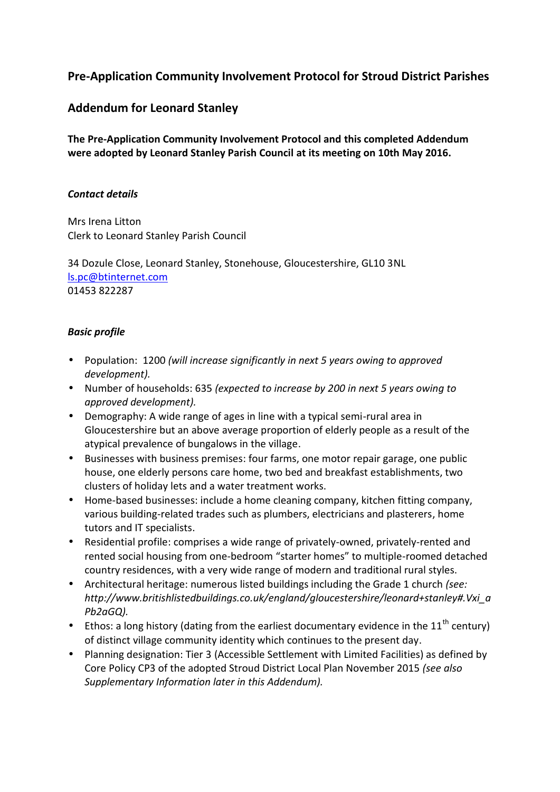# **Pre-Application Community Involvement Protocol for Stroud District Parishes**

# **Addendum for Leonard Stanley**

**The Pre-Application Community Involvement Protocol and this completed Addendum were adopted by Leonard Stanley Parish Council at its meeting on 10th May 2016.**

#### *Contact details*

Mrs Irena Litton Clerk to Leonard Stanley Parish Council

34 Dozule Close, Leonard Stanley, Stonehouse, Gloucestershire, GL10 3NL ls.pc@btinternet.com 01453 822287

### *Basic profile*

- Population: 1200 *(will increase significantly in next 5 years owing to approved development).*
- Number of households: 635 *(expected to increase by 200 in next 5 years owing to approved development).*
- Demography: A wide range of ages in line with a typical semi-rural area in Gloucestershire but an above average proportion of elderly people as a result of the atypical prevalence of bungalows in the village.
- Businesses with business premises: four farms, one motor repair garage, one public house, one elderly persons care home, two bed and breakfast establishments, two clusters of holiday lets and a water treatment works.
- Home-based businesses: include a home cleaning company, kitchen fitting company, various building-related trades such as plumbers, electricians and plasterers, home tutors and IT specialists.
- Residential profile: comprises a wide range of privately-owned, privately-rented and rented social housing from one-bedroom "starter homes" to multiple-roomed detached country residences, with a very wide range of modern and traditional rural styles.
- Architectural heritage: numerous listed buildings including the Grade 1 church *(see: http://www.britishlistedbuildings.co.uk/england/gloucestershire/leonard+stanley#.Vxi\_a Pb2aGQ).*
- Ethos: a long history (dating from the earliest documentary evidence in the  $11<sup>th</sup>$  century) of distinct village community identity which continues to the present day.
- Planning designation: Tier 3 (Accessible Settlement with Limited Facilities) as defined by Core Policy CP3 of the adopted Stroud District Local Plan November 2015 *(see also Supplementary Information later in this Addendum).*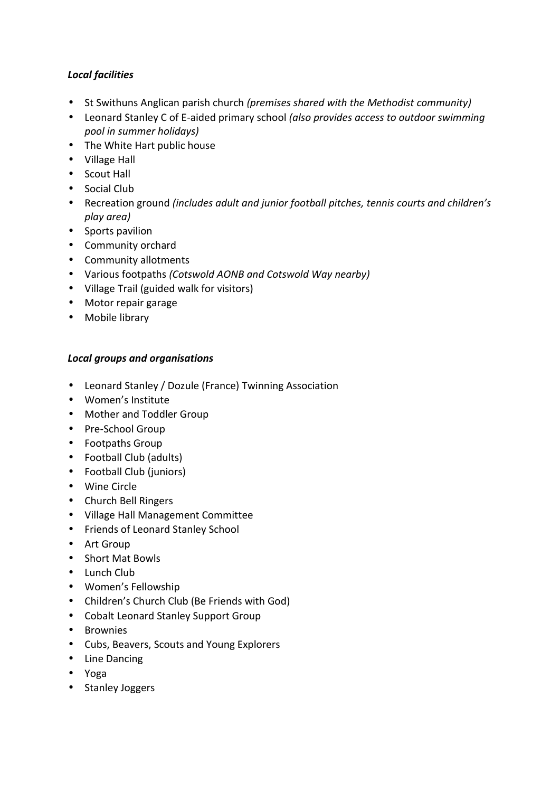# *Local facilities*

- St Swithuns Anglican parish church *(premises shared with the Methodist community)*
- Leonard Stanley C of E-aided primary school *(also provides access to outdoor swimming pool in summer holidays)*
- The White Hart public house
- Village Hall
- Scout Hall
- Social Club
- Recreation ground *(includes adult and junior football pitches, tennis courts and children's play area)*
- Sports pavilion
- Community orchard
- Community allotments
- Various footpaths *(Cotswold AONB and Cotswold Way nearby)*
- Village Trail (guided walk for visitors)
- Motor repair garage
- Mobile library

### *Local groups and organisations*

- Leonard Stanley / Dozule (France) Twinning Association
- Women's Institute
- Mother and Toddler Group
- Pre-School Group
- Footpaths Group
- Football Club (adults)
- Football Club (juniors)
- Wine Circle
- Church Bell Ringers
- Village Hall Management Committee
- Friends of Leonard Stanley School
- Art Group
- Short Mat Bowls
- Lunch Club
- Women's Fellowship
- Children's Church Club (Be Friends with God)
- Cobalt Leonard Stanley Support Group
- Brownies
- Cubs, Beavers, Scouts and Young Explorers
- Line Dancing
- Yoga
- Stanley Joggers